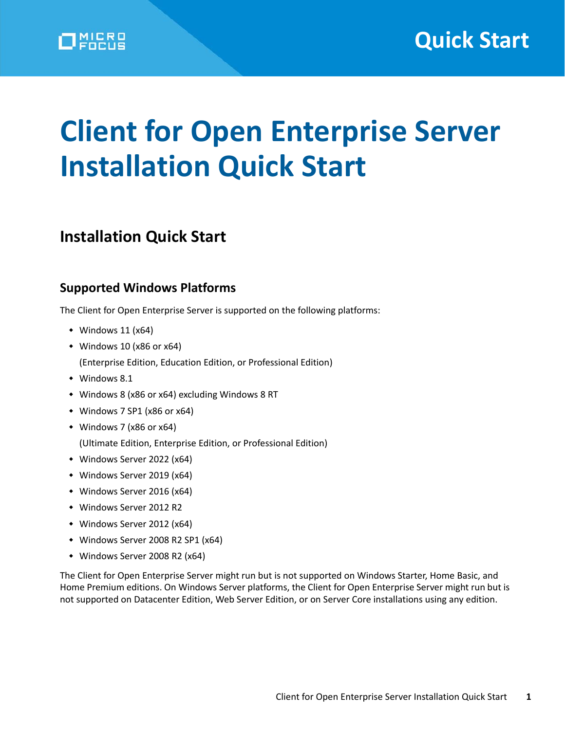# **Client for Open Enterprise Server Installation Quick Start**

## **Installation Quick Start**

## **Supported Windows Platforms**

The Client for Open Enterprise Server is supported on the following platforms:

- $*$  Windows 11 (x64)
- Windows 10 (x86 or x64)
	- (Enterprise Edition, Education Edition, or Professional Edition)
- Windows 8.1
- Windows 8 (x86 or x64) excluding Windows 8 RT
- Windows 7 SP1 (x86 or x64)
- Windows 7 (x86 or x64)

(Ultimate Edition, Enterprise Edition, or Professional Edition)

- Windows Server 2022 (x64)
- Windows Server 2019 (x64)
- Windows Server 2016 (x64)
- Windows Server 2012 R2
- Windows Server 2012 (x64)
- Windows Server 2008 R2 SP1 (x64)
- Windows Server 2008 R2 (x64)

The Client for Open Enterprise Server might run but is not supported on Windows Starter, Home Basic, and Home Premium editions. On Windows Server platforms, the Client for Open Enterprise Server might run but is not supported on Datacenter Edition, Web Server Edition, or on Server Core installations using any edition.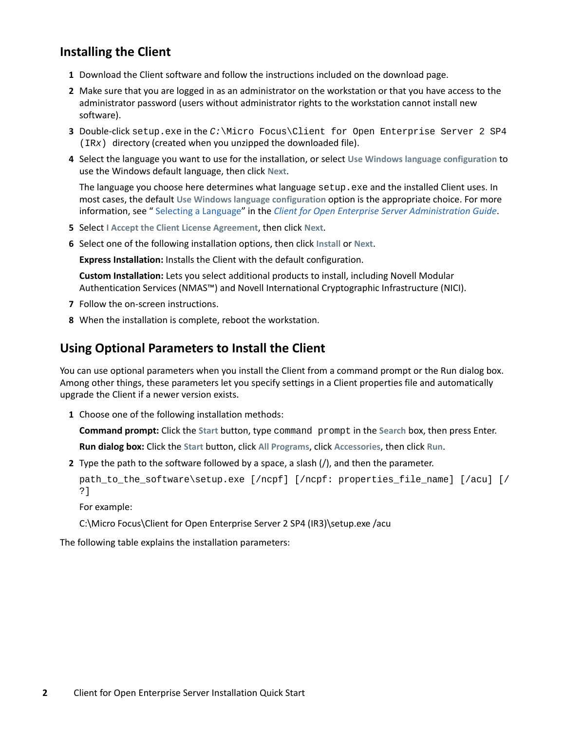## **Installing the Client**

- **1** Download the Client software and follow the instructions included on the download page.
- **2** Make sure that you are logged in as an administrator on the workstation or that you have access to the administrator password (users without administrator rights to the workstation cannot install new software).
- **3** Double-click setup.exe in the *C:*\Micro Focus\Client for Open Enterprise Server 2 SP4 (IR*x*) directory (created when you unzipped the downloaded file).
- **4** Select the language you want to use for the installation, or select **Use Windows language configuration** to use the Windows default language, then click **Next**.

The language you choose here determines what language setup.exe and the installed Client uses. In most cases, the default **Use Windows language configuration** option is the appropriate choice. For more information, see [" Selecting a Language"](https://www.microfocus.com/documentation/client-for-open-enterprise-server/sp6/pdfdoc/windows_client_admin/windows_client_admin.pdf#b9uykec) in the *[Client for Open Enterprise Server Administration Guide](https://www.microfocus.com/documentation/client-for-open-enterprise-server/sp6/pdfdoc/windows_client_admin/windows_client_admin.pdf#H4rudg93)*.

- **5** Select **I Accept the Client License Agreement**, then click **Next**.
- **6** Select one of the following installation options, then click **Install** or **Next**.

**Express Installation:** Installs the Client with the default configuration.

**Custom Installation:** Lets you select additional products to install, including Novell Modular Authentication Services (NMAS™) and Novell International Cryptographic Infrastructure (NICI).

- **7** Follow the on-screen instructions.
- **8** When the installation is complete, reboot the workstation.

### **Using Optional Parameters to Install the Client**

You can use optional parameters when you install the Client from a command prompt or the Run dialog box. Among other things, these parameters let you specify settings in a Client properties file and automatically upgrade the Client if a newer version exists.

**1** Choose one of the following installation methods:

**Command prompt:** Click the **Start** button, type command prompt in the **Search** box, then press Enter.

**Run dialog box:** Click the **Start** button, click **All Programs**, click **Accessories**, then click **Run**.

**2** Type the path to the software followed by a space, a slash (/), and then the parameter.

```
path_to_the_software\setup.exe [/ncpf] [/ncpf: properties_file_name] [/acu] [/
?]
```
For example:

C:\Micro Focus\Client for Open Enterprise Server 2 SP4 (IR3)\setup.exe /acu

The following table explains the installation parameters: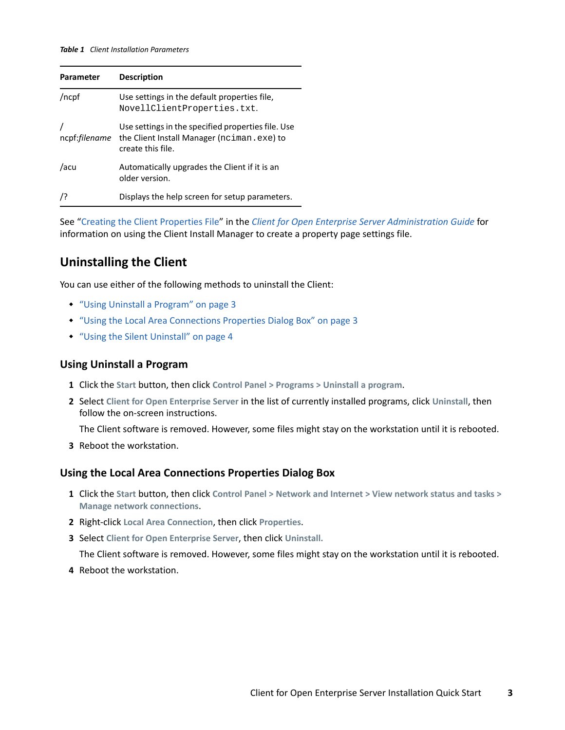#### *Table 1 Client Installation Parameters*

| <b>Parameter</b>      | <b>Description</b>                                                                                                    |
|-----------------------|-----------------------------------------------------------------------------------------------------------------------|
| /ncpf                 | Use settings in the default properties file,<br>NovellClientProperties.txt.                                           |
| ncpf: <i>filename</i> | Use settings in the specified properties file. Use<br>the Client Install Manager (nciman.exe) to<br>create this file. |
| /acu                  | Automatically upgrades the Client if it is an<br>older version.                                                       |
| 7?                    | Displays the help screen for setup parameters.                                                                        |

See ["Creating the Client Properties File"](https://www.microfocus.com/documentation/client-for-open-enterprise-server/sp6/pdfdoc/windows_client_admin/windows_client_admin.pdf#Hn62kppa) in the *[Client for Open Enterprise Server Administration Guide](https://www.microfocus.com/documentation/client-for-open-enterprise-server/sp6/pdfdoc/windows_client_admin/windows_client_admin.pdf#H4rudg93)* for information on using the Client Install Manager to create a property page settings file.

## **Uninstalling the Client**

You can use either of the following methods to uninstall the Client:

- ["Using Uninstall a Program" on page 3](#page-2-0)
- ["Using the Local Area Connections Properties Dialog Box" on page 3](#page-2-1)
- ["Using the Silent Uninstall" on page 4](#page-3-0)

#### <span id="page-2-0"></span>**Using Uninstall a Program**

- **1** Click the **Start** button, then click **Control Panel > Programs > Uninstall a program**.
- **2** Select **Client for Open Enterprise Server** in the list of currently installed programs, click **Uninstall**, then follow the on-screen instructions.

The Client software is removed. However, some files might stay on the workstation until it is rebooted.

**3** Reboot the workstation.

#### <span id="page-2-1"></span>**Using the Local Area Connections Properties Dialog Box**

- **1** Click the **Start** button, then click **Control Panel > Network and Internet > View network status and tasks > Manage network connections**.
- **2** Right-click **Local Area Connection**, then click **Properties**.
- **3** Select **Client for Open Enterprise Server**, then click **Uninstall.**

The Client software is removed. However, some files might stay on the workstation until it is rebooted.

**4** Reboot the workstation.